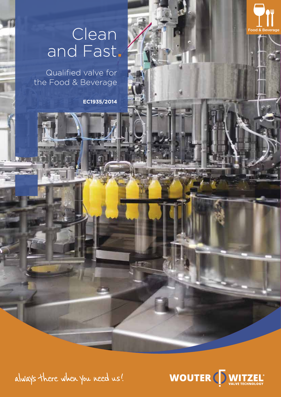# Clean and Fast

Qualified valve for the Food & Beverage

**EC1935/2014** 



Food & Beverage

always there when you need us!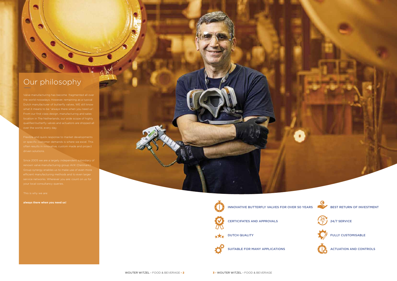## Our philosophy

a

Flexible and quick response to market developments

DUTCH QUALITY  $*X*$ 



Since 2005 we are a largely independent subsidiary of

**always there when you need us!**



INNOVATIVE BUTTERFLY VALVES FOR OVER 50 YEARS



CERTICIFATES AND APPROVALS

SUITABLE FOR MANY APPLICATIONS



BEST RETURN OF INVESTMENT

24/7 SERVICE

FULLY CUSTOMISABLE

ACTUATION AND CONTROLS

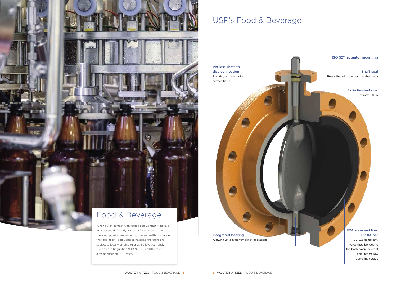## USP's Food & Beverage

#### ISO 5211 actuator mounting

Shaft seal Preventing dirt to enter into shaft area

#### Satin finished disc Ra max 0.8um



Allowing ultra-high number of operations

#### FDA approved liner EPDM-per

EC1935 compliant, vulcanized bonded to the body. Vacuum proof and lifetime low operating torque



laid down in Regulation (EC) No 1935/2004 which

aims at ensuring FCM safety.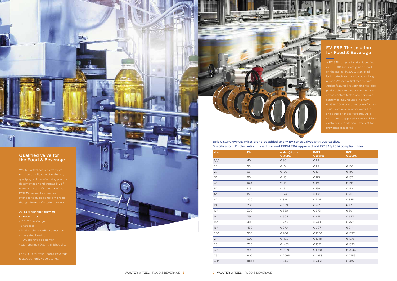

| size                | <b>DN</b> | wafer (short)<br>€ (euro) | <b>EVFS</b><br>€ (euro) | <b>EVFL</b><br>€ (euro) |
|---------------------|-----------|---------------------------|-------------------------|-------------------------|
| $1^{1}/\frac{n}{2}$ | 40        | € 98                      | $\epsilon$ 112          |                         |
| 2 <sup>n</sup>      | 50        | € 101                     | € 119                   | € 130                   |
| $2^{1}/\frac{1}{2}$ | 65        | € 109                     | € 121                   | € 130                   |
| $\mathfrak{Z}''$    | 80        | € 113                     | € 125                   | € 133                   |
| $4^{\prime\prime}$  | 100       | € 115                     | € 130                   | € 136                   |
| 5''                 | 125       | € 151                     | € 166                   | € 172                   |
| 6"                  | 150       | € 173                     | € 198                   | € 200                   |
| $8^{\prime\prime}$  | 200       | € 316                     | € 344                   | € 355                   |
| 10"                 | 250       | € 389                     | € 417                   | € 431                   |
| 12"                 | 300       | € 550                     | € 578                   | € 591                   |
| 14''                | 350       | € 605                     | € 621                   | € 633                   |
| 16"                 | 400       | € 738                     | € 748                   | € 759                   |
| 18"                 | 450       | € 879                     | € 907                   | € 914                   |
| 20"                 | 500       | €986                      | € 1056                  | € 1077                  |
| 24"                 | 600       | € 1193                    | € 1248                  | € 1276                  |
| 28"                 | 700       | € 1453                    | € 1591                  | € 1623                  |
| 32"                 | 800       | € 1809                    | € 1968                  | € 2044                  |
| 36"                 | 900       | € 2065                    | € 2238                  | € 2356                  |
| 40"                 | 1000      | € 2431                    | € 2431                  | € 2855                  |



### Qualified valve for the Food & Beverage

**The Ti** 



#### Avilable with the following characteristics:

### - ISO 5211 topflange

 $\sim$ 

- Shaft seal
- 
- 
-